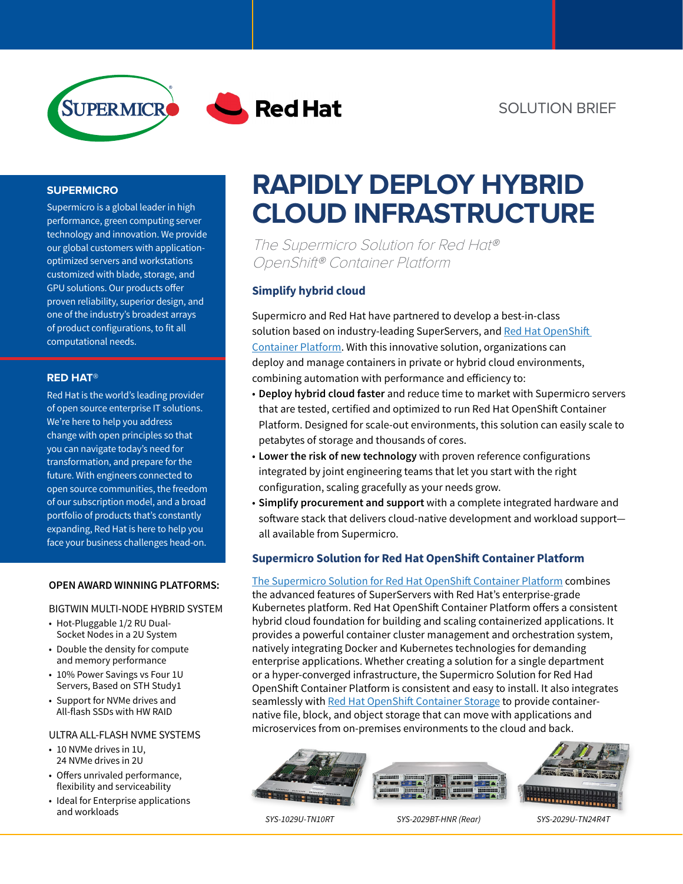

## **SUPERMICRO**

Supermicro is a global leader in high performance, green computing server technology and innovation. We provide our global customers with applicationoptimized servers and workstations customized with blade, storage, and GPU solutions. Our products offer proven reliability, superior design, and one of the industry's broadest arrays of product configurations, to fit all computational needs.

#### **RED HAT®**

Red Hat is the world's leading provider of open source enterprise IT solutions. We're here to help you address change with open principles so that you can navigate today's need for transformation, and prepare for the future. With engineers connected to open source communities, the freedom of our subscription model, and a broad portfolio of products that's constantly expanding, Red Hat is here to help you face your business challenges head-on.

### **OPEN AWARD WINNING PLATFORMS:**

### BIGTWIN MULTI-NODE HYBRID SYSTEM

- Hot-Pluggable 1/2 RU Dual-Socket Nodes in a 2U System
- Double the density for compute and memory performance
- 10% Power Savings vs Four 1U Servers, Based on STH Study1
- Support for NVMe drives and All-flash SSDs with HW RAID

#### ULTRA ALL-FLASH NVME SYSTEMS

- 10 NVMe drives in 1U, 24 NVMe drives in 2U
- Offers unrivaled performance, flexibility and serviceability
- Ideal for Enterprise applications and workloads

# **RAPIDLY DEPLOY HYBRID CLOUD INFRASTRUCTURE**

The Supermicro Solution for Red Hat® OpenShift® Container Platform

# **Simplify hybrid cloud**

Supermicro and Red Hat have partnered to develop a best-in-class solution based on industry-leading SuperServers, and Red Hat OpenShift [Container Platform](https://www.openshift.com/products/container-platform). With this innovative solution, organizations can deploy and manage containers in private or hybrid cloud environments, combining automation with performance and efficiency to:

- **Deploy hybrid cloud faster** and reduce time to market with Supermicro servers that are tested, certified and optimized to run Red Hat OpenShift Container Platform. Designed for scale-out environments, this solution can easily scale to petabytes of storage and thousands of cores.
- **Lower the risk of new technology** with proven reference configurations integrated by joint engineering teams that let you start with the right configuration, scaling gracefully as your needs grow.
- **Simplify procurement and support** with a complete integrated hardware and software stack that delivers cloud-native development and workload support all available from Supermicro.

## **Supermicro Solution for Red Hat OpenShift Container Platform**

[The Supermicro Solution for Red Hat OpenShift Container Platform](https://www.supermicro.com/en/solutions/red-hat-openshift) combines the advanced features of SuperServers with Red Hat's enterprise-grade Kubernetes platform. Red Hat OpenShift Container Platform offers a consistent hybrid cloud foundation for building and scaling containerized applications. It provides a powerful container cluster management and orchestration system, natively integrating Docker and Kubernetes technologies for demanding enterprise applications. Whether creating a solution for a single department or a hyper-converged infrastructure, the Supermicro Solution for Red Had OpenShift Container Platform is consistent and easy to install. It also integrates seamlessly with [Red Hat OpenShift Container Storage](https://www.openshift.com/products/container-storage/) to provide containernative file, block, and object storage that can move with applications and microservices from on-premises environments to the cloud and back.



*SYS-1029U-TN10RT SYS-2029BT-HNR (Rear) SYS-2029U-TN24R4T*